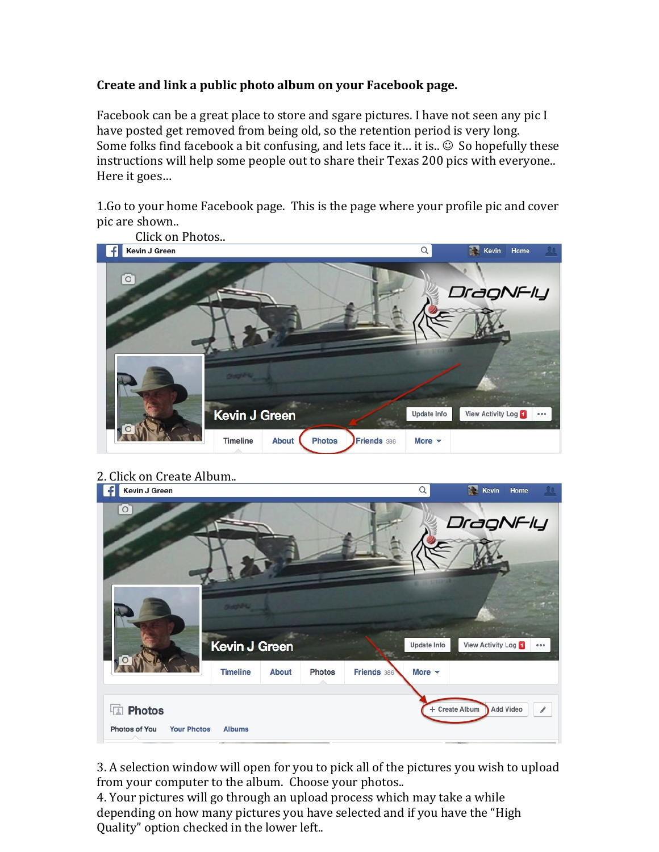## Create and link a public photo album on your Facebook page.

Facebook can be a great place to store and sgare pictures. I have not seen any pic  $I$ have posted get removed from being old, so the retention period is very long. Some folks find facebook a bit confusing, and lets face it... it is..  $\odot$  So hopefully these instructions will help some people out to share their Texas 200 pics with everyone.. Here it goes...

1. Go to your home Facebook page. This is the page where your profile pic and cover pic are shown..





3. A selection window will open for you to pick all of the pictures you wish to upload from your computer to the album. Choose your photos..

4. Your pictures will go through an upload process which may take a while depending on how many pictures you have selected and if you have the "High Quality" option checked in the lower left..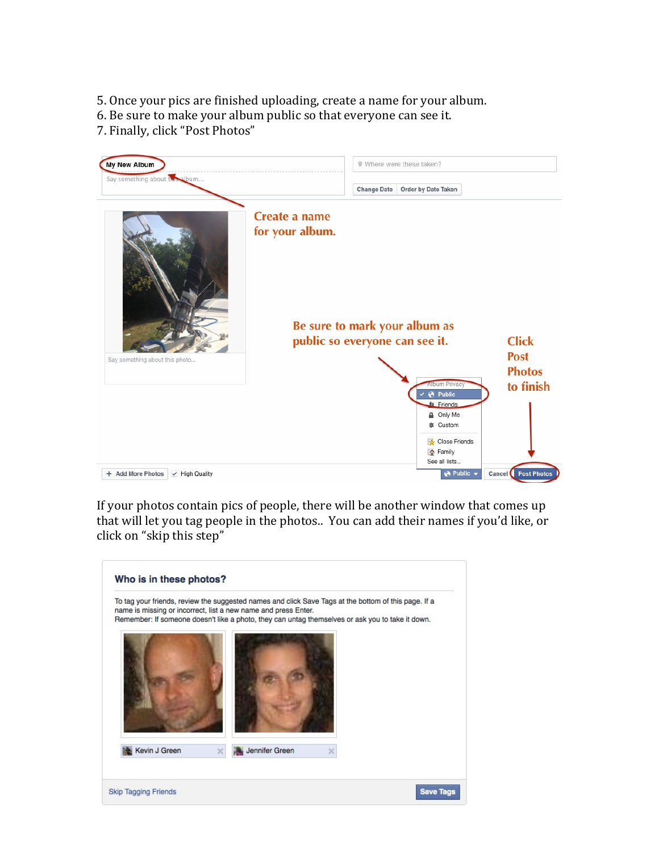5. Once your pics are finished uploading, create a name for your album.

6. Be sure to make your album public so that everyone can see it.

7. Finally, click "Post Photos"



If your photos contain pics of people, there will be another window that comes up that will let you tag people in the photos.. You can add their names if you'd like, or click on "skip this step"